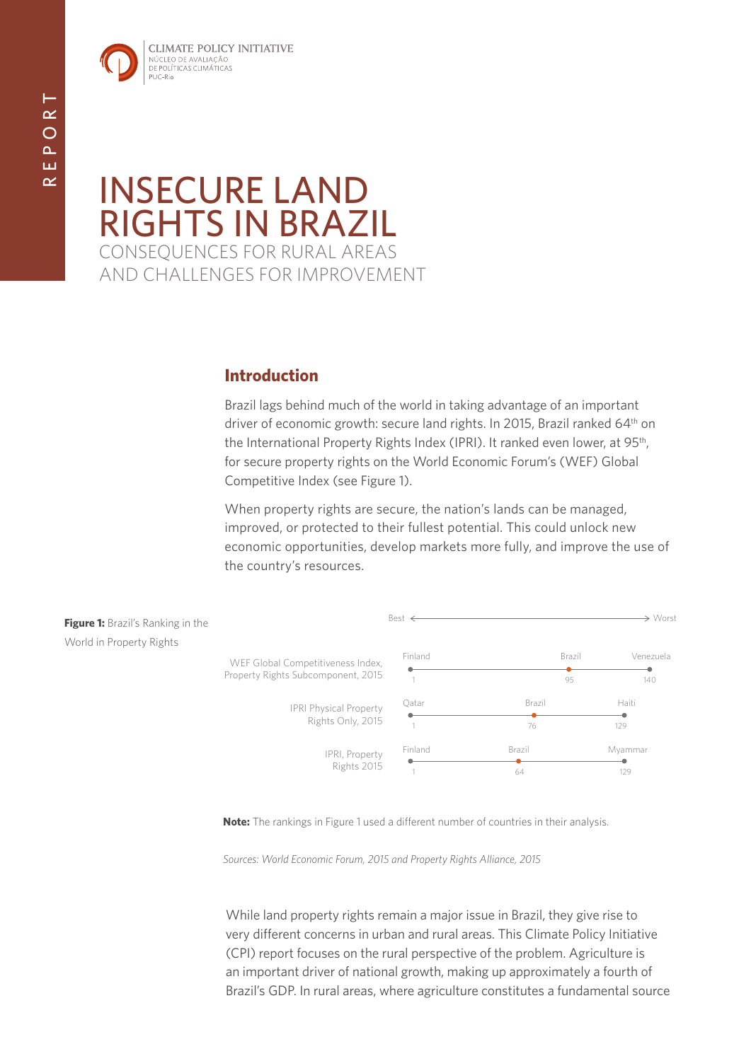

# INSECURE LAND RIGHTS IN BRAZIL CONSEQUENCES FOR RURAL AREAS AND CHALLENGES FOR IMPROVEMENT

# **Introduction**

Brazil lags behind much of the world in taking advantage of an important driver of economic growth: secure land rights. In 2015, Brazil ranked 64<sup>th</sup> on the International Property Rights Index (IPRI). It ranked even lower, at 95<sup>th</sup>, for secure property rights on the World Economic Forum's (WEF) Global Competitive Index (see Figure 1).

When property rights are secure, the nation's lands can be managed, improved, or protected to their fullest potential. This could unlock new economic opportunities, develop markets more fully, and improve the use of the country's resources.



**Note:** The rankings in Figure 1 used a different number of countries in their analysis.

*Sources: World Economic Forum, 2015 and Property Rights Alliance, 2015*

While land property rights remain a major issue in Brazil, they give rise to very different concerns in urban and rural areas. This Climate Policy Initiative (CPI) report focuses on the rural perspective of the problem. Agriculture is an important driver of national growth, making up approximately a fourth of Brazil's GDP. In rural areas, where agriculture constitutes a fundamental source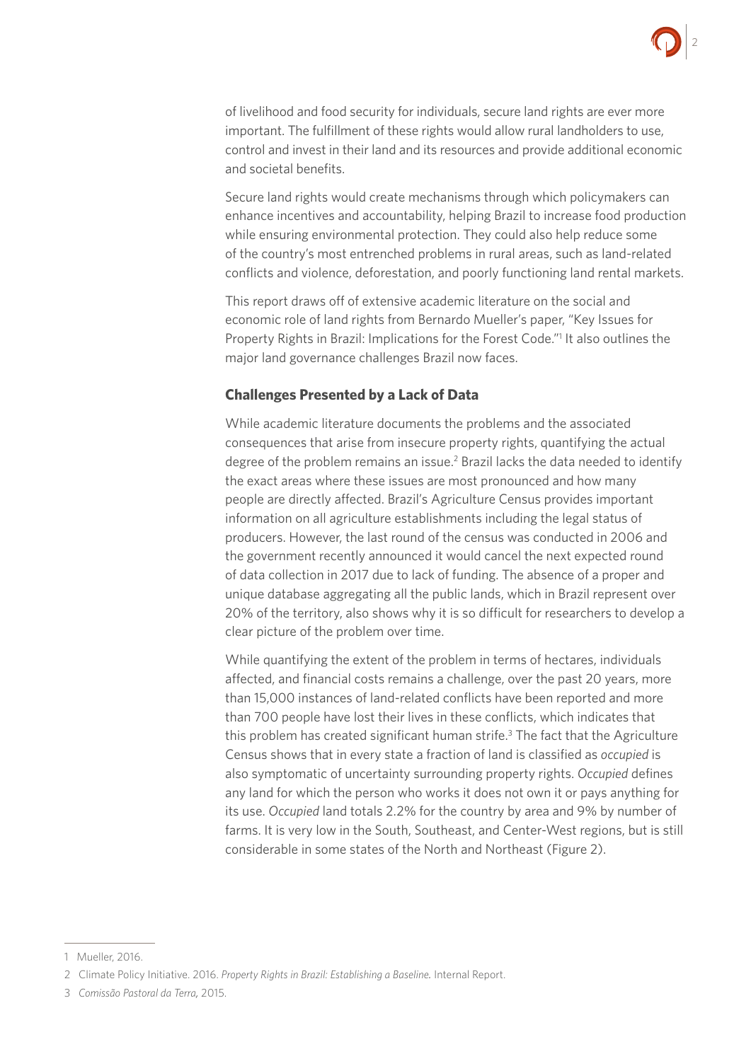

of livelihood and food security for individuals, secure land rights are ever more important. The fulfillment of these rights would allow rural landholders to use, control and invest in their land and its resources and provide additional economic and societal benefits.

Secure land rights would create mechanisms through which policymakers can enhance incentives and accountability, helping Brazil to increase food production while ensuring environmental protection. They could also help reduce some of the country's most entrenched problems in rural areas, such as land-related conflicts and violence, deforestation, and poorly functioning land rental markets.

This report draws off of extensive academic literature on the social and economic role of land rights from Bernardo Mueller's paper, "Key Issues for Property Rights in Brazil: Implications for the Forest Code."<sup>1</sup> It also outlines the major land governance challenges Brazil now faces.

#### **Challenges Presented by a Lack of Data**

While academic literature documents the problems and the associated consequences that arise from insecure property rights, quantifying the actual degree of the problem remains an issue.<sup>2</sup> Brazil lacks the data needed to identify the exact areas where these issues are most pronounced and how many people are directly affected. Brazil's Agriculture Census provides important information on all agriculture establishments including the legal status of producers. However, the last round of the census was conducted in 2006 and the government recently announced it would cancel the next expected round of data collection in 2017 due to lack of funding. The absence of a proper and unique database aggregating all the public lands, which in Brazil represent over 20% of the territory, also shows why it is so difficult for researchers to develop a clear picture of the problem over time.

While quantifying the extent of the problem in terms of hectares, individuals affected, and financial costs remains a challenge, over the past 20 years, more than 15,000 instances of land-related conflicts have been reported and more than 700 people have lost their lives in these conflicts, which indicates that this problem has created significant human strife.<sup>3</sup> The fact that the Agriculture Census shows that in every state a fraction of land is classified as *occupied* is also symptomatic of uncertainty surrounding property rights. *Occupied* defines any land for which the person who works it does not own it or pays anything for its use. *Occupied* land totals 2.2% for the country by area and 9% by number of farms. It is very low in the South, Southeast, and Center-West regions, but is still considerable in some states of the North and Northeast (Figure 2).

<sup>1</sup> Mueller, 2016.

<sup>2</sup> Climate Policy Initiative. 2016. *Property Rights in Brazil: Establishing a Baseline.* Internal Report.

<sup>3</sup> *Comissão Pastoral da Terra,* 2015.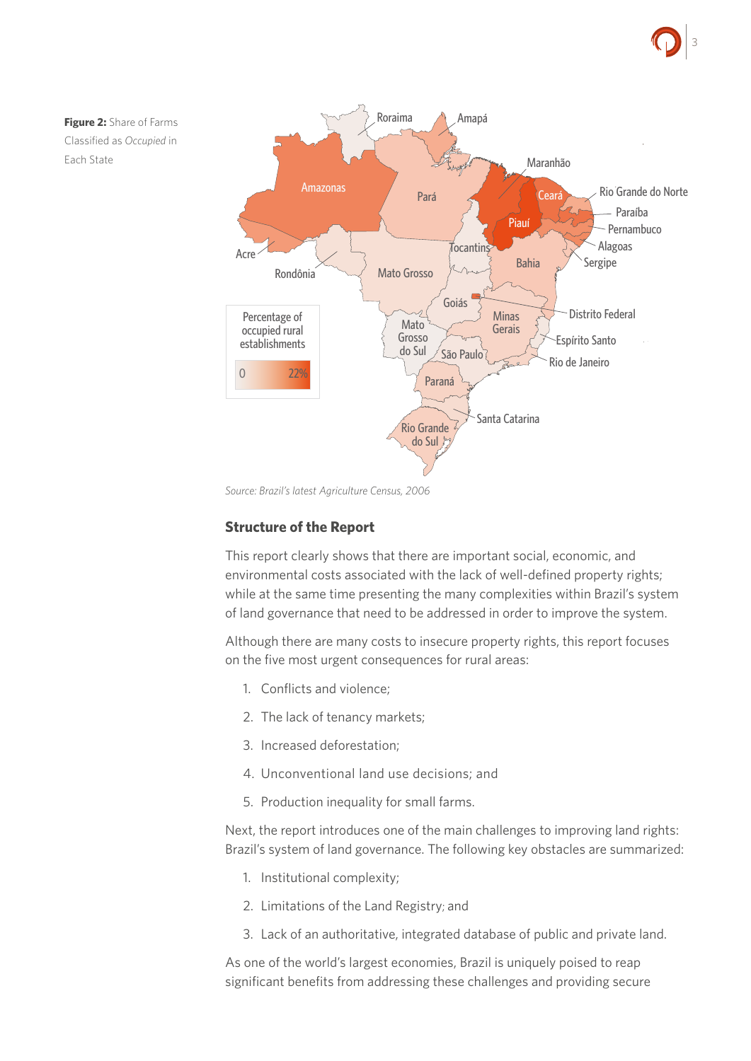# 3





*Source: Brazil's latest Agriculture Census, 2006* 

#### **Structure of the Report**

This report clearly shows that there are important social, economic, and environmental costs associated with the lack of well-defined property rights; while at the same time presenting the many complexities within Brazil's system of land governance that need to be addressed in order to improve the system.

Although there are many costs to insecure property rights, this report focuses on the five most urgent consequences for rural areas:

- 1. Conflicts and violence;
- 2. The lack of tenancy markets;
- 3. Increased deforestation;
- 4. Unconventional land use decisions; and
- 5. Production inequality for small farms.

Next, the report introduces one of the main challenges to improving land rights: Brazil's system of land governance. The following key obstacles are summarized:

- 1. Institutional complexity;
- 2. Limitations of the Land Registry; and
- 3. Lack of an authoritative, integrated database of public and private land.

As one of the world's largest economies, Brazil is uniquely poised to reap significant benefits from addressing these challenges and providing secure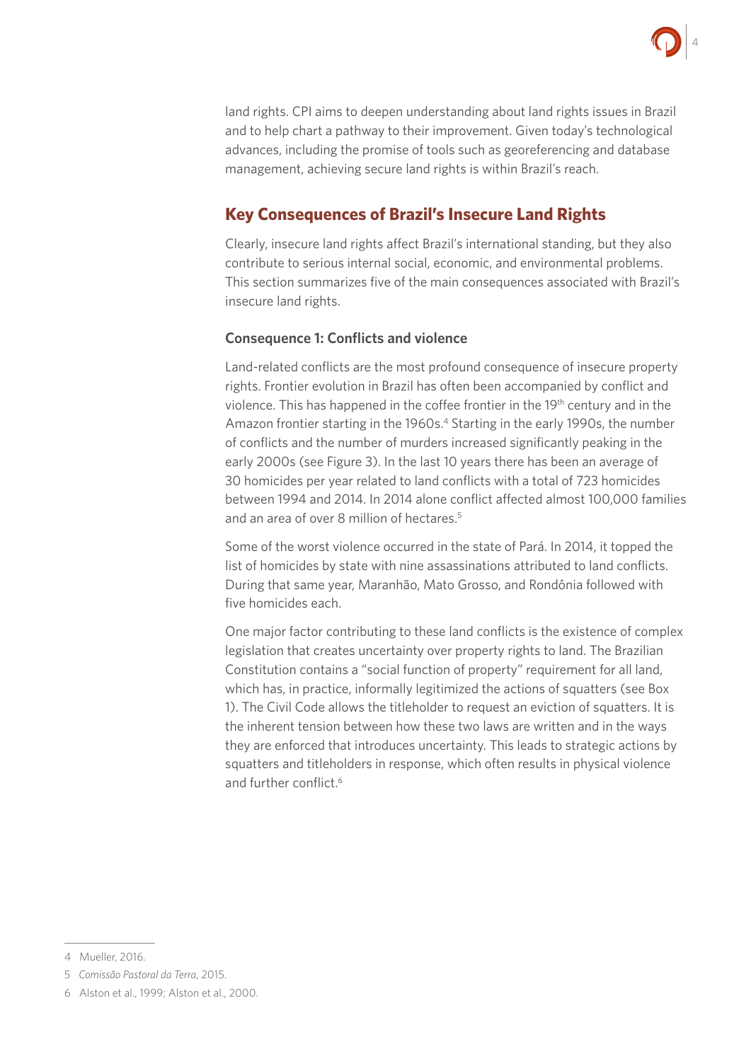

land rights. CPI aims to deepen understanding about land rights issues in Brazil and to help chart a pathway to their improvement. Given today's technological advances, including the promise of tools such as georeferencing and database management, achieving secure land rights is within Brazil's reach.

# **Key Consequences of Brazil's Insecure Land Rights**

Clearly, insecure land rights affect Brazil's international standing, but they also contribute to serious internal social, economic, and environmental problems. This section summarizes five of the main consequences associated with Brazil's insecure land rights.

#### **Consequence 1: Conflicts and violence**

Land-related conflicts are the most profound consequence of insecure property rights. Frontier evolution in Brazil has often been accompanied by conflict and violence. This has happened in the coffee frontier in the 19<sup>th</sup> century and in the Amazon frontier starting in the 1960s.<sup>4</sup> Starting in the early 1990s, the number of conflicts and the number of murders increased significantly peaking in the early 2000s (see Figure 3). In the last 10 years there has been an average of 30 homicides per year related to land conflicts with a total of 723 homicides between 1994 and 2014. In 2014 alone conflict affected almost 100,000 families and an area of over 8 million of hectares.<sup>5</sup>

Some of the worst violence occurred in the state of Pará. In 2014, it topped the list of homicides by state with nine assassinations attributed to land conflicts. During that same year, Maranhão, Mato Grosso, and Rondônia followed with five homicides each.

One major factor contributing to these land conflicts is the existence of complex legislation that creates uncertainty over property rights to land. The Brazilian Constitution contains a "social function of property" requirement for all land, which has, in practice, informally legitimized the actions of squatters (see Box 1). The Civil Code allows the titleholder to request an eviction of squatters. It is the inherent tension between how these two laws are written and in the ways they are enforced that introduces uncertainty. This leads to strategic actions by squatters and titleholders in response, which often results in physical violence and further conflict  $6$ 

<sup>4</sup> Mueller, 2016.

<sup>5</sup> *Comissão Pastoral da Terra*, 2015.

<sup>6</sup> Alston et al., 1999; Alston et al., 2000.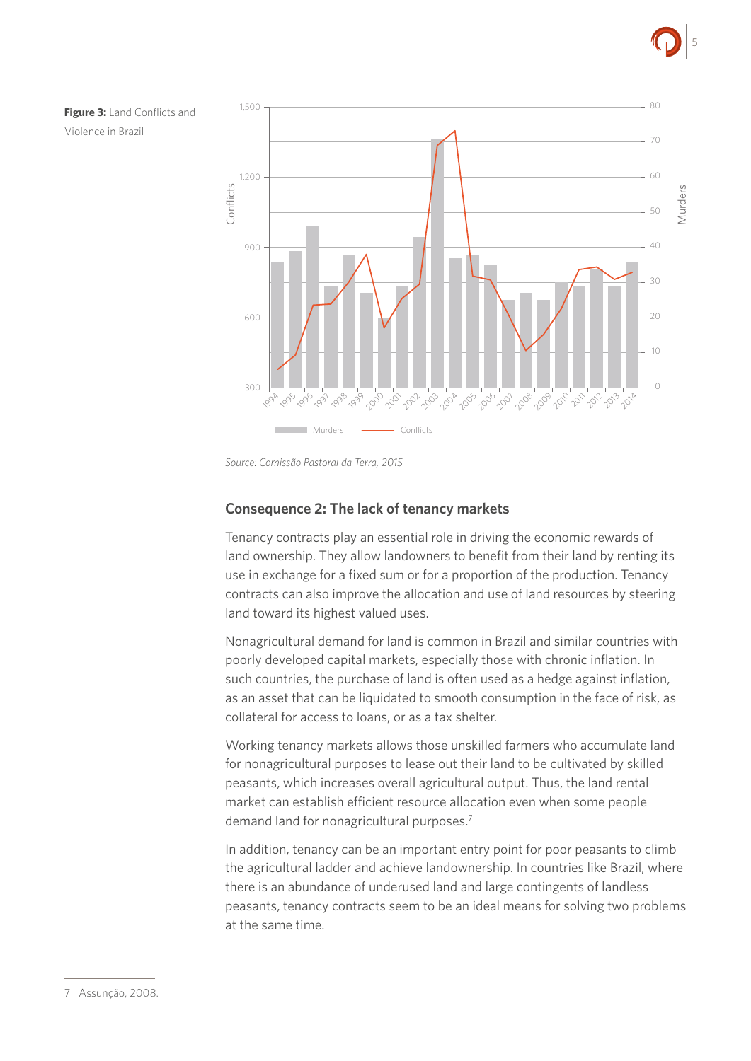





*Source: Comissão Pastoral da Terra, 2015*

#### **Consequence 2: The lack of tenancy markets**

Tenancy contracts play an essential role in driving the economic rewards of land ownership. They allow landowners to benefit from their land by renting its use in exchange for a fixed sum or for a proportion of the production. Tenancy contracts can also improve the allocation and use of land resources by steering land toward its highest valued uses.

Nonagricultural demand for land is common in Brazil and similar countries with poorly developed capital markets, especially those with chronic inflation. In such countries, the purchase of land is often used as a hedge against inflation, as an asset that can be liquidated to smooth consumption in the face of risk, as collateral for access to loans, or as a tax shelter.

Working tenancy markets allows those unskilled farmers who accumulate land for nonagricultural purposes to lease out their land to be cultivated by skilled peasants, which increases overall agricultural output. Thus, the land rental market can establish efficient resource allocation even when some people demand land for nonagricultural purposes.<sup>7</sup>

In addition, tenancy can be an important entry point for poor peasants to climb the agricultural ladder and achieve landownership. In countries like Brazil, where there is an abundance of underused land and large contingents of landless peasants, tenancy contracts seem to be an ideal means for solving two problems at the same time.

<sup>7</sup> Assunção, 2008.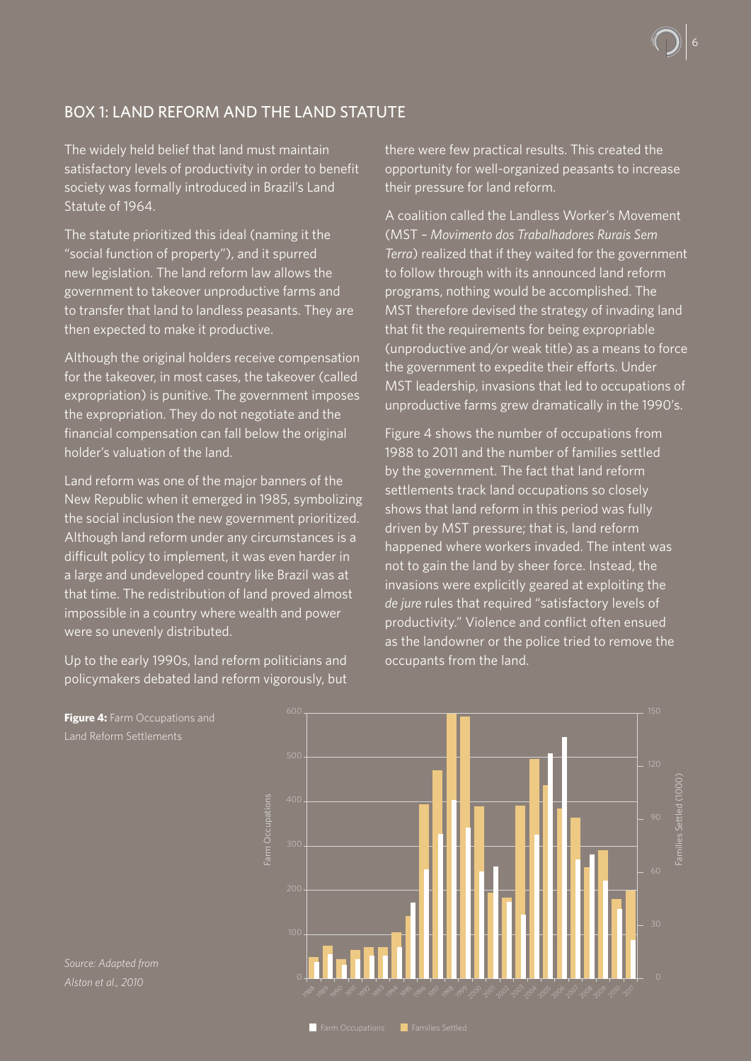# BOX 1: LAND REFORM AND THE LAND STATUTE

The widely held belief that land must maintain satisfactory levels of productivity in order to benefit society was formally introduced in Brazil's Land Statute of 1964.

The statute prioritized this ideal (naming it the "social function of property"), and it spurred new legislation. The land reform law allows the government to takeover unproductive farms and to transfer that land to landless peasants. They are then expected to make it productive.

Although the original holders receive compensation for the takeover, in most cases, the takeover (called expropriation) is punitive. The government imposes the expropriation. They do not negotiate and the financial compensation can fall below the original holder's valuation of the land.

Land reform was one of the major banners of the New Republic when it emerged in 1985, symbolizing the social inclusion the new government prioritized. Although land reform under any circumstances is a difficult policy to implement, it was even harder in a large and undeveloped country like Brazil was at that time. The redistribution of land proved almost impossible in a country where wealth and power were so unevenly distributed.

Up to the early 1990s, land reform politicians and policymakers debated land reform vigorously, but there were few practical results. This created the opportunity for well-organized peasants to increase their pressure for land reform.

6

A coalition called the Landless Worker's Movement (MST *– Movimento dos Trabalhadores Rurais Sem Terra*) realized that if they waited for the government to follow through with its announced land reform programs, nothing would be accomplished. The MST therefore devised the strategy of invading land that fit the requirements for being expropriable (unproductive and/or weak title) as a means to force the government to expedite their efforts. Under MST leadership, invasions that led to occupations of unproductive farms grew dramatically in the 1990's.

Figure 4 shows the number of occupations from 1988 to 2011 and the number of families settled by the government. The fact that land reform settlements track land occupations so closely shows that land reform in this period was fully driven by MST pressure; that is, land reform happened where workers invaded. The intent was not to gain the land by sheer force. Instead, the invasions were explicitly geared at exploiting the *de jure* rules that required "satisfactory levels of productivity." Violence and conflict often ensued as the landowner or the police tried to remove the occupants from the land.



**Figure 4:** Farm Occupations and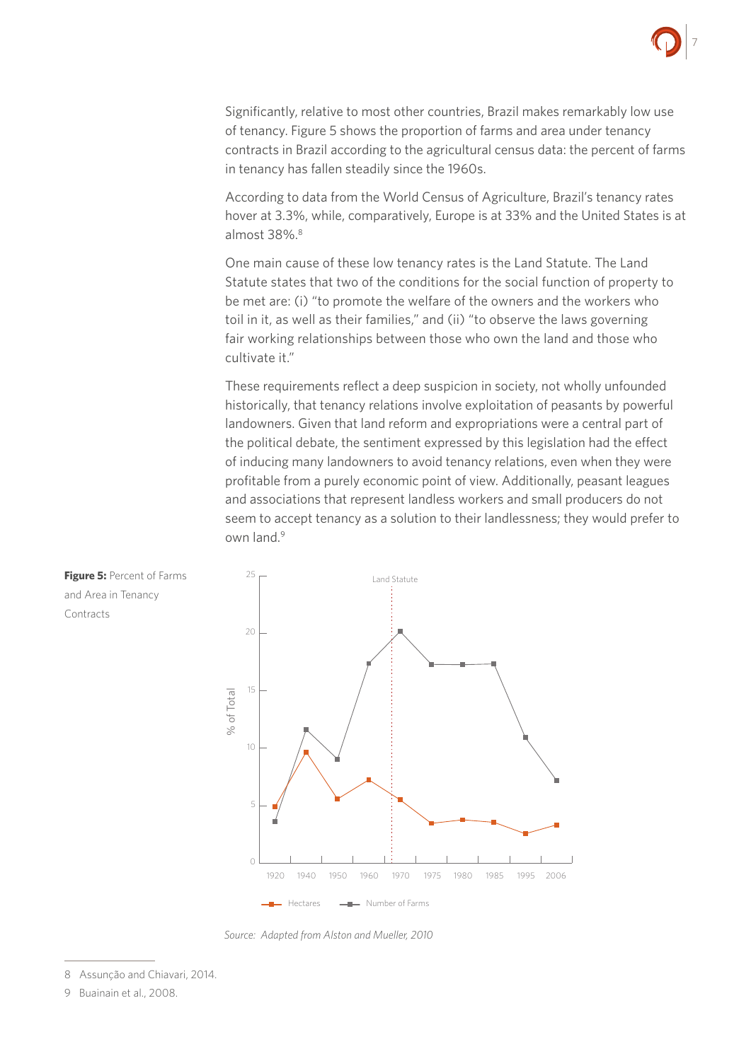

Significantly, relative to most other countries, Brazil makes remarkably low use of tenancy. Figure 5 shows the proportion of farms and area under tenancy contracts in Brazil according to the agricultural census data: the percent of farms in tenancy has fallen steadily since the 1960s.

According to data from the World Census of Agriculture, Brazil's tenancy rates hover at 3.3%, while, comparatively, Europe is at 33% and the United States is at almost 38%.8

One main cause of these low tenancy rates is the Land Statute. The Land Statute states that two of the conditions for the social function of property to be met are: (i) "to promote the welfare of the owners and the workers who toil in it, as well as their families," and (ii) "to observe the laws governing fair working relationships between those who own the land and those who cultivate it."

These requirements reflect a deep suspicion in society, not wholly unfounded historically, that tenancy relations involve exploitation of peasants by powerful landowners. Given that land reform and expropriations were a central part of the political debate, the sentiment expressed by this legislation had the effect of inducing many landowners to avoid tenancy relations, even when they were profitable from a purely economic point of view. Additionally, peasant leagues and associations that represent landless workers and small producers do not seem to accept tenancy as a solution to their landlessness; they would prefer to own land.<sup>9</sup>





- 8 Assunção and Chiavari, 2014.
- 9 Buainain et al., 2008.

**Figure 5: Percent of Farms** and Area in Tenancy Contracts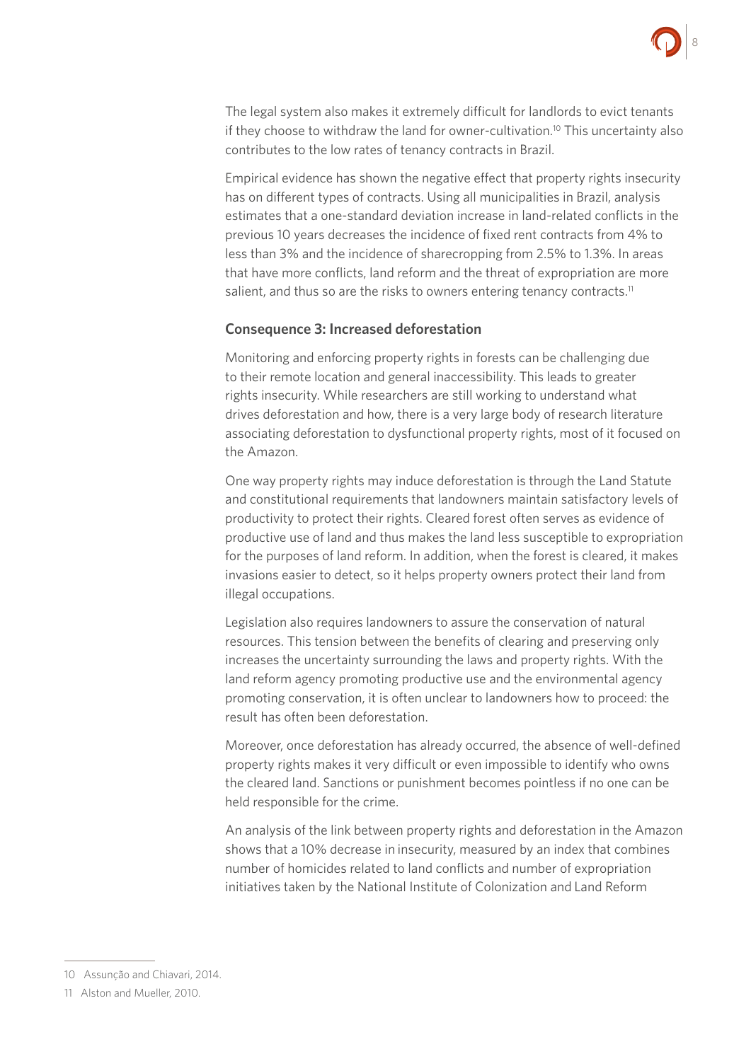

The legal system also makes it extremely difficult for landlords to evict tenants if they choose to withdraw the land for owner-cultivation.<sup>10</sup> This uncertainty also contributes to the low rates of tenancy contracts in Brazil.

Empirical evidence has shown the negative effect that property rights insecurity has on different types of contracts. Using all municipalities in Brazil, analysis estimates that a one-standard deviation increase in land-related conflicts in the previous 10 years decreases the incidence of fixed rent contracts from 4% to less than 3% and the incidence of sharecropping from 2.5% to 1.3%. In areas that have more conflicts, land reform and the threat of expropriation are more salient, and thus so are the risks to owners entering tenancy contracts.<sup>11</sup>

#### **Consequence 3: Increased deforestation**

Monitoring and enforcing property rights in forests can be challenging due to their remote location and general inaccessibility. This leads to greater rights insecurity. While researchers are still working to understand what drives deforestation and how, there is a very large body of research literature associating deforestation to dysfunctional property rights, most of it focused on the Amazon.

One way property rights may induce deforestation is through the Land Statute and constitutional requirements that landowners maintain satisfactory levels of productivity to protect their rights. Cleared forest often serves as evidence of productive use of land and thus makes the land less susceptible to expropriation for the purposes of land reform. In addition, when the forest is cleared, it makes invasions easier to detect, so it helps property owners protect their land from illegal occupations.

Legislation also requires landowners to assure the conservation of natural resources. This tension between the benefits of clearing and preserving only increases the uncertainty surrounding the laws and property rights. With the land reform agency promoting productive use and the environmental agency promoting conservation, it is often unclear to landowners how to proceed: the result has often been deforestation.

Moreover, once deforestation has already occurred, the absence of well-defined property rights makes it very difficult or even impossible to identify who owns the cleared land. Sanctions or punishment becomes pointless if no one can be held responsible for the crime.

An analysis of the link between property rights and deforestation in the Amazon shows that a 10% decrease in insecurity, measured by an index that combines number of homicides related to land conflicts and number of expropriation initiatives taken by the National Institute of Colonization and Land Reform

<sup>10</sup> Assunção and Chiavari, 2014.

<sup>11</sup> Alston and Mueller, 2010.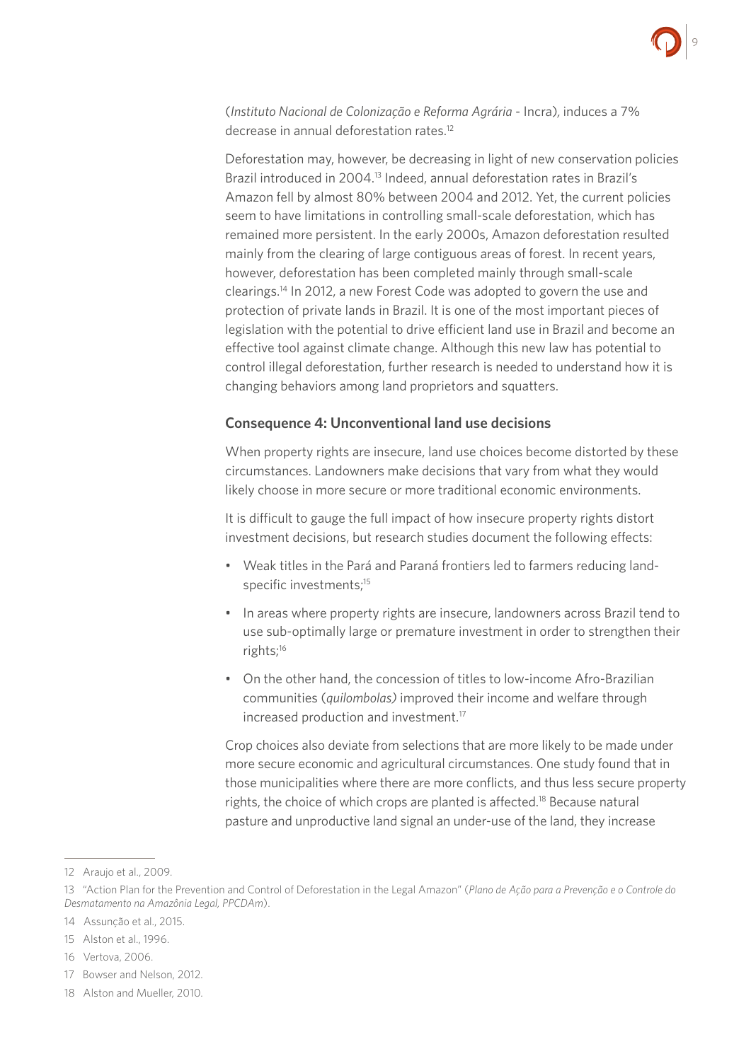

(*Instituto Nacional de Colonização e Reforma Agrária* - Incra)*,* induces a 7% decrease in annual deforestation rates.<sup>12</sup>

Deforestation may, however, be decreasing in light of new conservation policies Brazil introduced in 2004.<sup>13</sup> Indeed, annual deforestation rates in Brazil's Amazon fell by almost 80% between 2004 and 2012. Yet, the current policies seem to have limitations in controlling small-scale deforestation, which has remained more persistent. In the early 2000s, Amazon deforestation resulted mainly from the clearing of large contiguous areas of forest. In recent years, however, deforestation has been completed mainly through small-scale clearings.14 In 2012, a new Forest Code was adopted to govern the use and protection of private lands in Brazil. It is one of the most important pieces of legislation with the potential to drive efficient land use in Brazil and become an effective tool against climate change. Although this new law has potential to control illegal deforestation, further research is needed to understand how it is changing behaviors among land proprietors and squatters.

#### **Consequence 4: Unconventional land use decisions**

When property rights are insecure, land use choices become distorted by these circumstances. Landowners make decisions that vary from what they would likely choose in more secure or more traditional economic environments.

It is difficult to gauge the full impact of how insecure property rights distort investment decisions, but research studies document the following effects:

- Weak titles in the Pará and Paraná frontiers led to farmers reducing landspecific investments;<sup>15</sup>
- In areas where property rights are insecure, landowners across Brazil tend to use sub-optimally large or premature investment in order to strengthen their rights;16
- On the other hand, the concession of titles to low-income Afro-Brazilian communities (*quilombolas)* improved their income and welfare through increased production and investment.17

Crop choices also deviate from selections that are more likely to be made under more secure economic and agricultural circumstances. One study found that in those municipalities where there are more conflicts, and thus less secure property rights, the choice of which crops are planted is affected.<sup>18</sup> Because natural pasture and unproductive land signal an under-use of the land, they increase

- 15 Alston et al., 1996.
- 16 Vertova, 2006.
- 17 Bowser and Nelson, 2012.
- 18 Alston and Mueller, 2010.

<sup>12</sup> Araujo et al., 2009.

<sup>13 &</sup>quot;Action Plan for the Prevention and Control of Deforestation in the Legal Amazon" (*Plano de Ação para a Prevenção e o Controle do Desmatamento na Amazônia Legal, PPCDAm*).

<sup>14</sup> Assunção et al., 2015.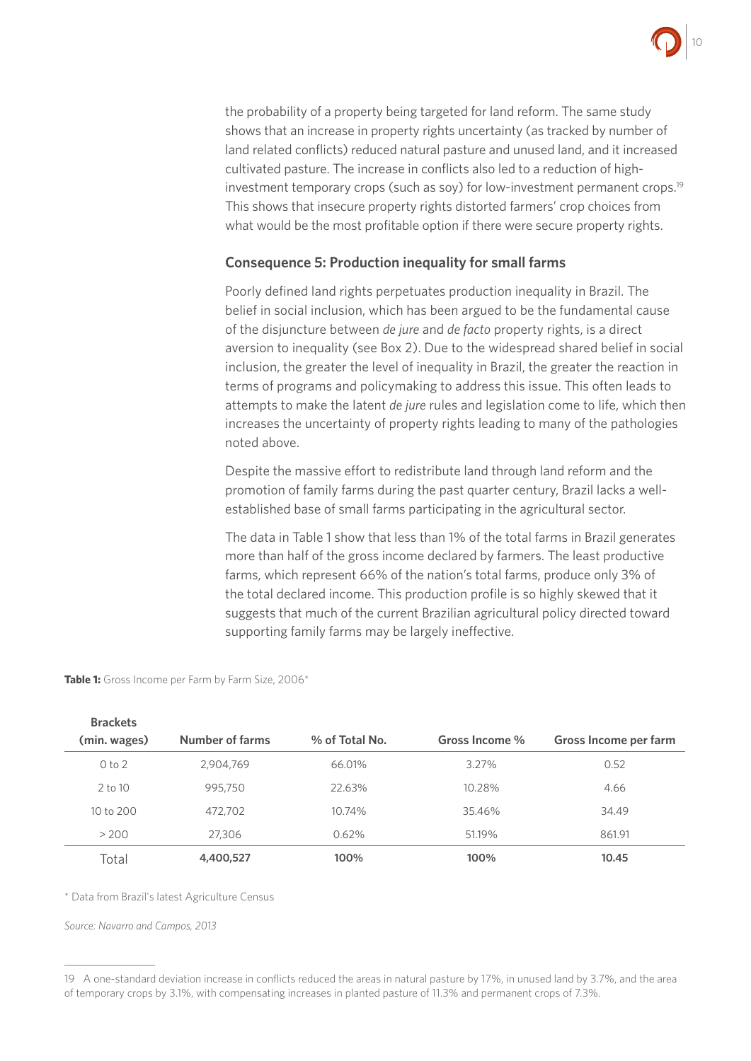

the probability of a property being targeted for land reform. The same study shows that an increase in property rights uncertainty (as tracked by number of land related conflicts) reduced natural pasture and unused land, and it increased cultivated pasture. The increase in conflicts also led to a reduction of highinvestment temporary crops (such as soy) for low-investment permanent crops.<sup>19</sup> This shows that insecure property rights distorted farmers' crop choices from what would be the most profitable option if there were secure property rights.

#### **Consequence 5: Production inequality for small farms**

Poorly defined land rights perpetuates production inequality in Brazil. The belief in social inclusion, which has been argued to be the fundamental cause of the disjuncture between *de jure* and *de facto* property rights, is a direct aversion to inequality (see Box 2). Due to the widespread shared belief in social inclusion, the greater the level of inequality in Brazil, the greater the reaction in terms of programs and policymaking to address this issue. This often leads to attempts to make the latent *de jure* rules and legislation come to life, which then increases the uncertainty of property rights leading to many of the pathologies noted above.

Despite the massive effort to redistribute land through land reform and the promotion of family farms during the past quarter century, Brazil lacks a wellestablished base of small farms participating in the agricultural sector.

The data in Table 1 show that less than 1% of the total farms in Brazil generates more than half of the gross income declared by farmers. The least productive farms, which represent 66% of the nation's total farms, produce only 3% of the total declared income. This production profile is so highly skewed that it suggests that much of the current Brazilian agricultural policy directed toward supporting family farms may be largely ineffective.

| <b>Brackets</b> |                 |                |                |                       |
|-----------------|-----------------|----------------|----------------|-----------------------|
| (min. wages)    | Number of farms | % of Total No. | Gross Income % | Gross Income per farm |
| 0 to 2          | 2.904.769       | 66.01%         | 3.27%          | 0.52                  |
| $2$ to 10       | 995,750         | 22.63%         | 10.28%         | 4.66                  |
| 10 to 200       | 472,702         | 10.74%         | 35.46%         | 34.49                 |
| > 200           | 27,306          | 0.62%          | 51.19%         | 861.91                |
| Total           | 4,400,527       | 100%           | 100%           | 10.45                 |

Table 1: Gross Income per Farm by Farm Size, 2006\*

\* Data from Brazil's latest Agriculture Census

*Source: Navarro and Campos, 2013*

<sup>19</sup> A one-standard deviation increase in conflicts reduced the areas in natural pasture by 17%, in unused land by 3.7%, and the area of temporary crops by 3.1%, with compensating increases in planted pasture of 11.3% and permanent crops of 7.3%.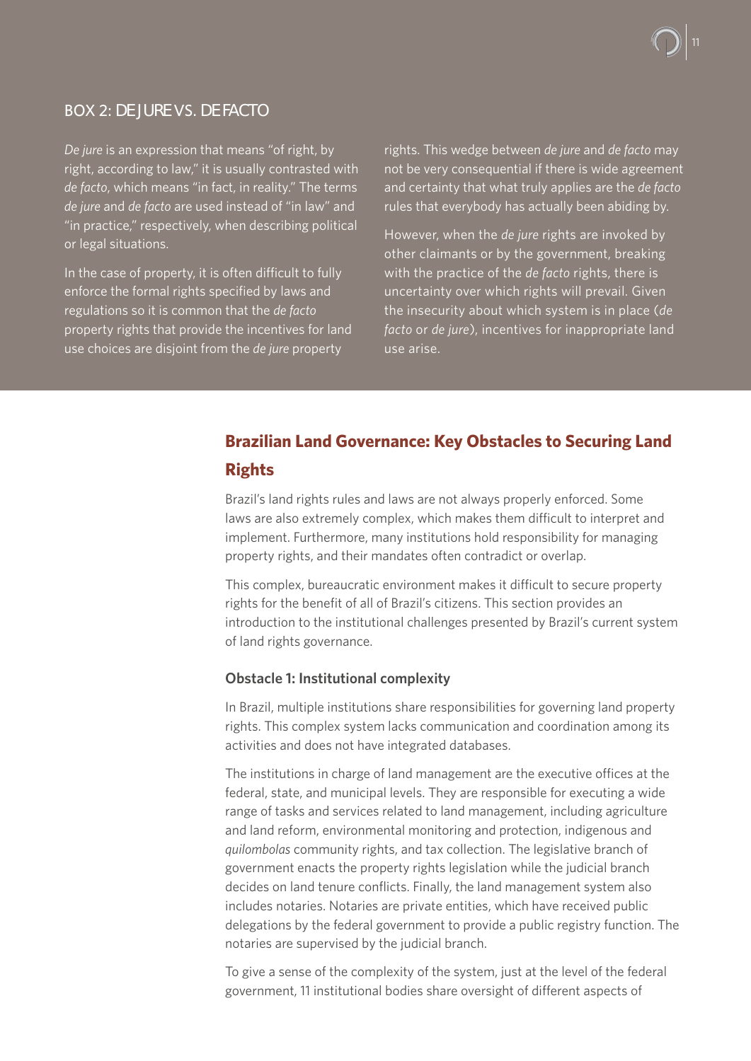# BOX 2: *DE JURE* VS. *DE FACTO*

*De jure* is an expression that means "of right, by right, according to law," it is usually contrasted with *de facto*, which means "in fact, in reality." The terms *de jure* and *de facto* are used instead of "in law" and "in practice," respectively, when describing political or legal situations.

In the case of property, it is often difficult to fully enforce the formal rights specified by laws and regulations so it is common that the *de facto*  property rights that provide the incentives for land use choices are disjoint from the *de jure* property

rights. This wedge between *de jure* and *de facto* may not be very consequential if there is wide agreement and certainty that what truly applies are the *de facto*  rules that everybody has actually been abiding by.

However, when the *de jure* rights are invoked by other claimants or by the government, breaking with the practice of the *de facto* rights, there is uncertainty over which rights will prevail. Given the insecurity about which system is in place (*de facto* or *de jure*), incentives for inappropriate land use arise.

# **Brazilian Land Governance: Key Obstacles to Securing Land Rights**

Brazil's land rights rules and laws are not always properly enforced. Some laws are also extremely complex, which makes them difficult to interpret and implement. Furthermore, many institutions hold responsibility for managing property rights, and their mandates often contradict or overlap.

This complex, bureaucratic environment makes it difficult to secure property rights for the benefit of all of Brazil's citizens. This section provides an introduction to the institutional challenges presented by Brazil's current system of land rights governance.

#### **Obstacle 1: Institutional complexity**

In Brazil, multiple institutions share responsibilities for governing land property rights. This complex system lacks communication and coordination among its activities and does not have integrated databases.

The institutions in charge of land management are the executive offices at the federal, state, and municipal levels. They are responsible for executing a wide range of tasks and services related to land management, including agriculture and land reform, environmental monitoring and protection, indigenous and *quilombolas* community rights, and tax collection. The legislative branch of government enacts the property rights legislation while the judicial branch decides on land tenure conflicts. Finally, the land management system also includes notaries. Notaries are private entities, which have received public delegations by the federal government to provide a public registry function. The notaries are supervised by the judicial branch.

To give a sense of the complexity of the system, just at the level of the federal government, 11 institutional bodies share oversight of different aspects of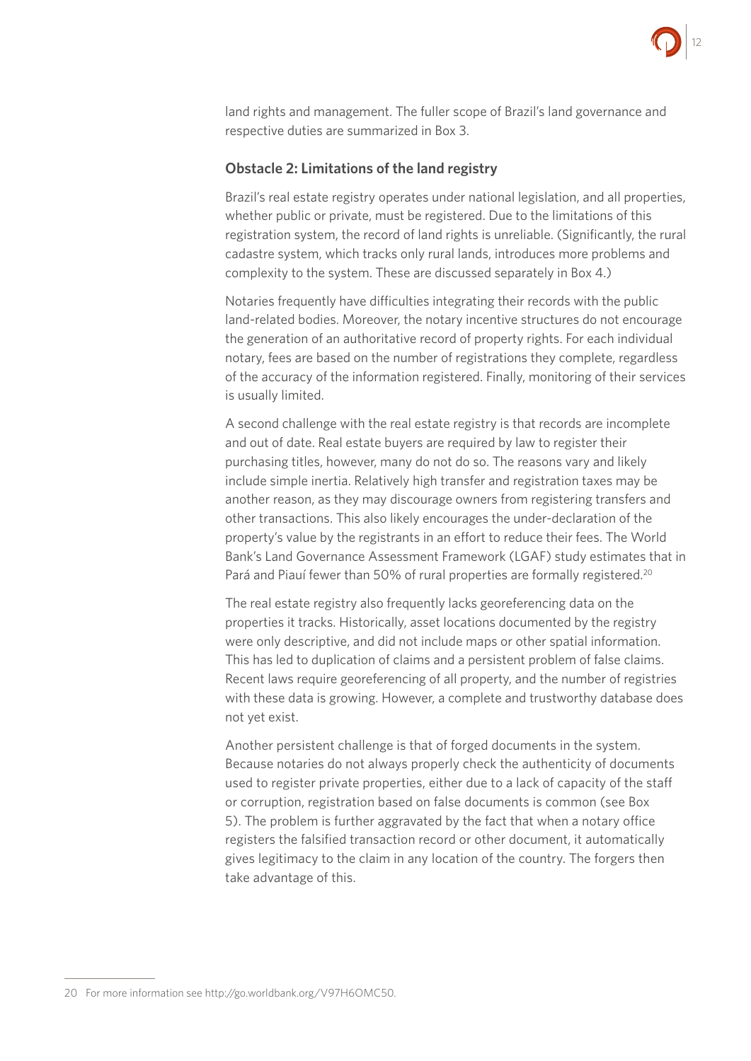

land rights and management. The fuller scope of Brazil's land governance and respective duties are summarized in Box 3.

#### **Obstacle 2: Limitations of the land registry**

Brazil's real estate registry operates under national legislation, and all properties, whether public or private, must be registered. Due to the limitations of this registration system, the record of land rights is unreliable. (Significantly, the rural cadastre system, which tracks only rural lands, introduces more problems and complexity to the system. These are discussed separately in Box 4.)

Notaries frequently have difficulties integrating their records with the public land-related bodies. Moreover, the notary incentive structures do not encourage the generation of an authoritative record of property rights. For each individual notary, fees are based on the number of registrations they complete, regardless of the accuracy of the information registered. Finally, monitoring of their services is usually limited.

A second challenge with the real estate registry is that records are incomplete and out of date. Real estate buyers are required by law to register their purchasing titles, however, many do not do so. The reasons vary and likely include simple inertia. Relatively high transfer and registration taxes may be another reason, as they may discourage owners from registering transfers and other transactions. This also likely encourages the under-declaration of the property's value by the registrants in an effort to reduce their fees. The World Bank's Land Governance Assessment Framework (LGAF) study estimates that in Pará and Piauí fewer than 50% of rural properties are formally registered.<sup>20</sup>

The real estate registry also frequently lacks georeferencing data on the properties it tracks. Historically, asset locations documented by the registry were only descriptive, and did not include maps or other spatial information. This has led to duplication of claims and a persistent problem of false claims. Recent laws require georeferencing of all property, and the number of registries with these data is growing. However, a complete and trustworthy database does not yet exist.

Another persistent challenge is that of forged documents in the system. Because notaries do not always properly check the authenticity of documents used to register private properties, either due to a lack of capacity of the staff or corruption, registration based on false documents is common (see Box 5). The problem is further aggravated by the fact that when a notary office registers the falsified transaction record or other document, it automatically gives legitimacy to the claim in any location of the country. The forgers then take advantage of this.

<sup>20</sup> For more information see <http://go.worldbank.org/V97H6OMC50>.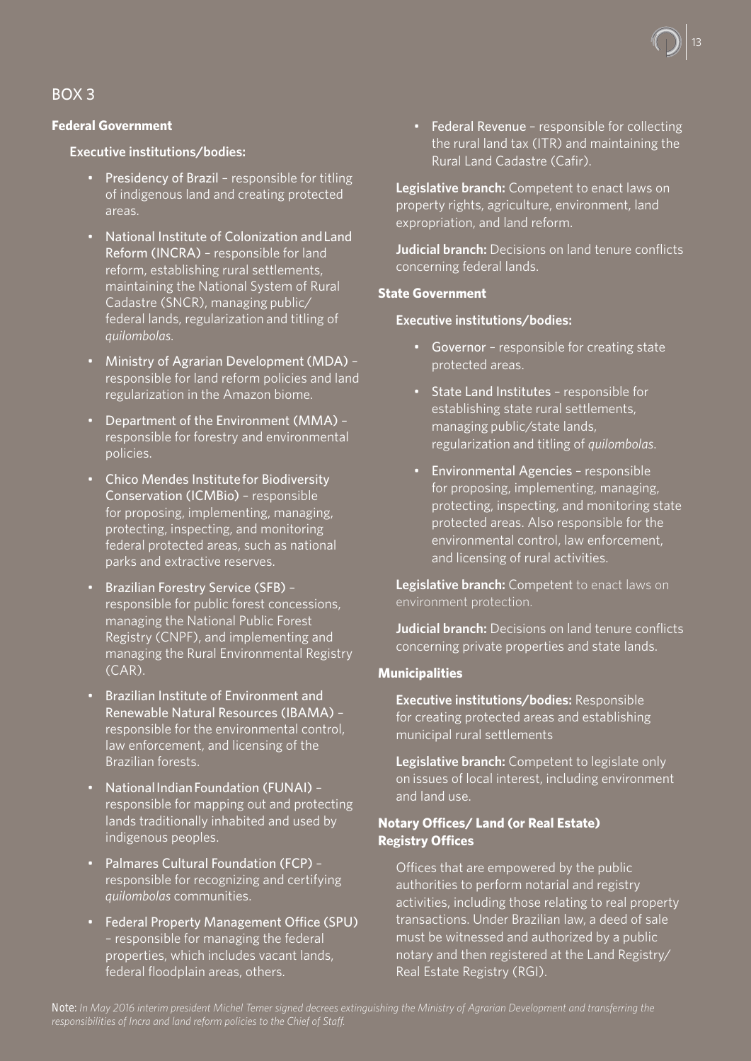

### BOX 3

#### **Federal Government**

#### **Executive institutions/bodies:**

- Presidency of Brazil responsible for titling of indigenous land and creating protected areas.
- National Institute of Colonization and Land Reform (INCRA) – responsible for land reform, establishing rural settlements, maintaining the National System of Rural Cadastre (SNCR), managing public/ federal lands, regularization and titling of *quilombolas*.
- Ministry of Agrarian Development (MDA) responsible for land reform policies and land regularization in the Amazon biome.
- Department of the Environment (MMA) responsible for forestry and environmental policies.
- Chico Mendes Institute for Biodiversity Conservation (ICMBio) – responsible for proposing, implementing, managing, protecting, inspecting, and monitoring federal protected areas, such as national parks and extractive reserves.
- Brazilian Forestry Service (SFB) responsible for public forest concessions, managing the National Public Forest Registry (CNPF), and implementing and managing the Rural Environmental Registry  $(CAR)$ .
- Brazilian Institute of Environment and Renewable Natural Resources (IBAMA) – responsible for the environmental control, law enforcement, and licensing of the Brazilian forests.
- National Indian Foundation (FUNAI) responsible for mapping out and protecting lands traditionally inhabited and used by indigenous peoples.
- Palmares Cultural Foundation (FCP) responsible for recognizing and certifying *quilombolas* communities.
- Federal Property Management Office (SPU) – responsible for managing the federal properties, which includes vacant lands, federal floodplain areas, others.

• Federal Revenue – responsible for collecting the rural land tax (ITR) and maintaining the Rural Land Cadastre (Cafir).

**Legislative branch:** Competent to enact laws on property rights, agriculture, environment, land expropriation, and land reform.

**Judicial branch:** Decisions on land tenure conflicts concerning federal lands.

#### **State Government**

#### **Executive institutions/bodies:**

- Governor responsible for creating state protected areas.
- State Land Institutes responsible for establishing state rural settlements, managing public/state lands, regularization and titling of *quilombolas*.
- Environmental Agencies responsible for proposing, implementing, managing, protecting, inspecting, and monitoring state protected areas. Also responsible for the environmental control, law enforcement, and licensing of rural activities.

**Legislative branch:** Competent to enact laws on environment protection.

**Judicial branch:** Decisions on land tenure conflicts concerning private properties and state lands.

#### **Municipalities**

**Executive institutions/bodies:** Responsible for creating protected areas and establishing municipal rural settlements

**Legislative branch:** Competent to legislate only on issues of local interest, including environment and land use.

#### **Notary Offices/ Land (or Real Estate) Registry Offices**

Offices that are empowered by the public authorities to perform notarial and registry activities, including those relating to real property transactions. Under Brazilian law, a deed of sale must be witnessed and authorized by a public notary and then registered at the Land Registry/ Real Estate Registry (RGI).

*Note: In May 2016 interim president Michel Temer signed decrees extinguishing the Ministry of Agrarian Development and transferring the responsibilities of Incra and land reform policies to the Chief of Staff.*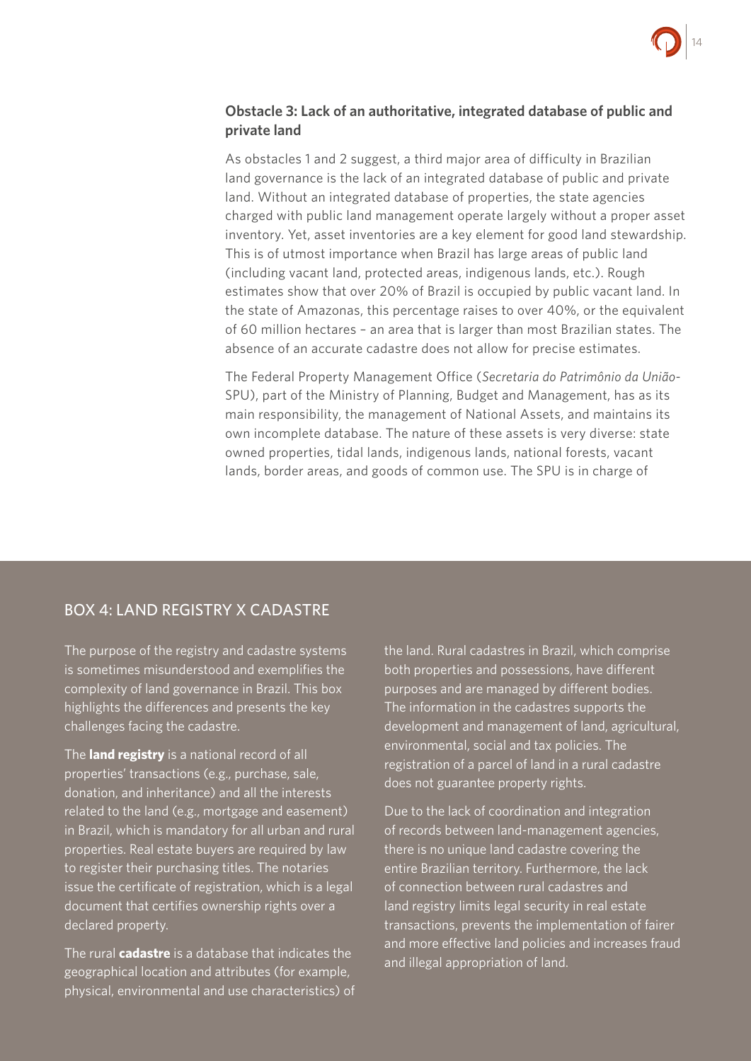

#### **Obstacle 3: Lack of an authoritative, integrated database of public and private land**

As obstacles 1 and 2 suggest, a third major area of difficulty in Brazilian land governance is the lack of an integrated database of public and private land. Without an integrated database of properties, the state agencies charged with public land management operate largely without a proper asset inventory. Yet, asset inventories are a key element for good land stewardship. This is of utmost importance when Brazil has large areas of public land (including vacant land, protected areas, indigenous lands, etc.). Rough estimates show that over 20% of Brazil is occupied by public vacant land. In the state of Amazonas, this percentage raises to over 40%, or the equivalent of 60 million hectares – an area that is larger than most Brazilian states. The absence of an accurate cadastre does not allow for precise estimates.

The Federal Property Management Office (*Secretaria do Patrimônio da União*-SPU), part of the Ministry of Planning, Budget and Management, has as its main responsibility, the management of National Assets, and maintains its own incomplete database. The nature of these assets is very diverse: state owned properties, tidal lands, indigenous lands, national forests, vacant lands, border areas, and goods of common use. The SPU is in charge of

# BOX 4: LAND REGISTRY X CADASTRE

The purpose of the registry and cadastre systems is sometimes misunderstood and exemplifies the complexity of land governance in Brazil. This box highlights the differences and presents the key challenges facing the cadastre.

The **land registry** is a national record of all properties' transactions (e.g., purchase, sale, donation, and inheritance) and all the interests related to the land (e.g., mortgage and easement) in Brazil, which is mandatory for all urban and rural properties. Real estate buyers are required by law to register their purchasing titles. The notaries issue the certificate of registration, which is a legal document that certifies ownership rights over a declared property.

The rural **cadastre** is a database that indicates the geographical location and attributes (for example, physical, environmental and use characteristics) of

the land. Rural cadastres in Brazil, which comprise both properties and possessions, have different purposes and are managed by different bodies. The information in the cadastres supports the development and management of land, agricultural, environmental, social and tax policies. The registration of a parcel of land in a rural cadastre does not guarantee property rights.

Due to the lack of coordination and integration of records between land-management agencies, there is no unique land cadastre covering the entire Brazilian territory. Furthermore, the lack of connection between rural cadastres and land registry limits legal security in real estate transactions, prevents the implementation of fairer and more effective land policies and increases fraud and illegal appropriation of land.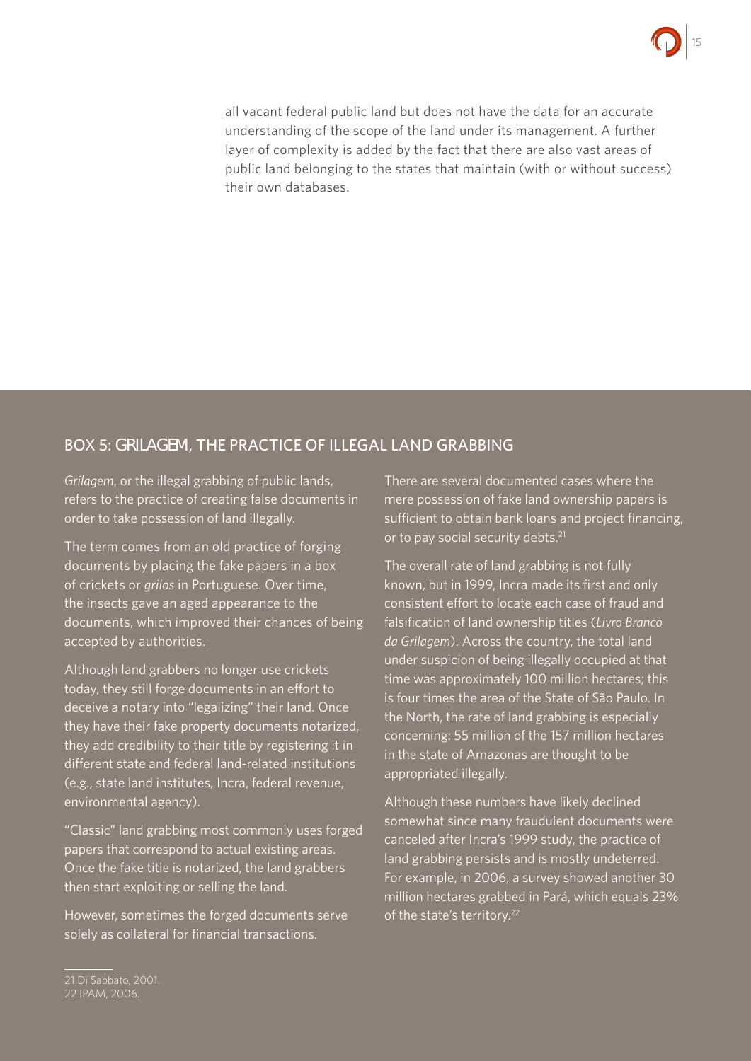

all vacant federal public land but does not have the data for an accurate understanding of the scope of the land under its management. A further layer of complexity is added by the fact that there are also vast areas of public land belonging to the states that maintain (with or without success) their own databases.

#### BOX 5: *GRILAGEM*, THE PRACTICE OF ILLEGAL LAND GRABBING

*Grilagem*, or the illegal grabbing of public lands, refers to the practice of creating false documents in order to take possession of land illegally.

The term comes from an old practice of forging documents by placing the fake papers in a box of crickets or *grilos* in Portuguese. Over time, the insects gave an aged appearance to the documents, which improved their chances of being accepted by authorities.

Although land grabbers no longer use crickets today, they still forge documents in an effort to deceive a notary into "legalizing" their land. Once they have their fake property documents notarized, they add credibility to their title by registering it in different state and federal land-related institutions (e.g., state land institutes, Incra, federal revenue, environmental agency).

"Classic" land grabbing most commonly uses forged papers that correspond to actual existing areas. Once the fake title is notarized, the land grabbers then start exploiting or selling the land.

However, sometimes the forged documents serve solely as collateral for financial transactions.

There are several documented cases where the mere possession of fake land ownership papers is sufficient to obtain bank loans and project financing, or to pay social security debts.<sup>21</sup>

The overall rate of land grabbing is not fully known, but in 1999, Incra made its first and only consistent effort to locate each case of fraud and falsification of land ownership titles (*Livro Branco da Grilagem*). Across the country, the total land under suspicion of being illegally occupied at that time was approximately 100 million hectares; this is four times the area of the State of São Paulo. In the North, the rate of land grabbing is especially concerning: 55 million of the 157 million hectares in the state of Amazonas are thought to be appropriated illegally.

Although these numbers have likely declined somewhat since many fraudulent documents were canceled after Incra's 1999 study, the practice of land grabbing persists and is mostly undeterred. For example, in 2006, a survey showed another 30 million hectares grabbed in Pará, which equals 23% of the state's territory.<sup>22</sup>

<sup>21</sup> Di Sabbato, 2001.

<sup>22</sup> IPAM, 2006.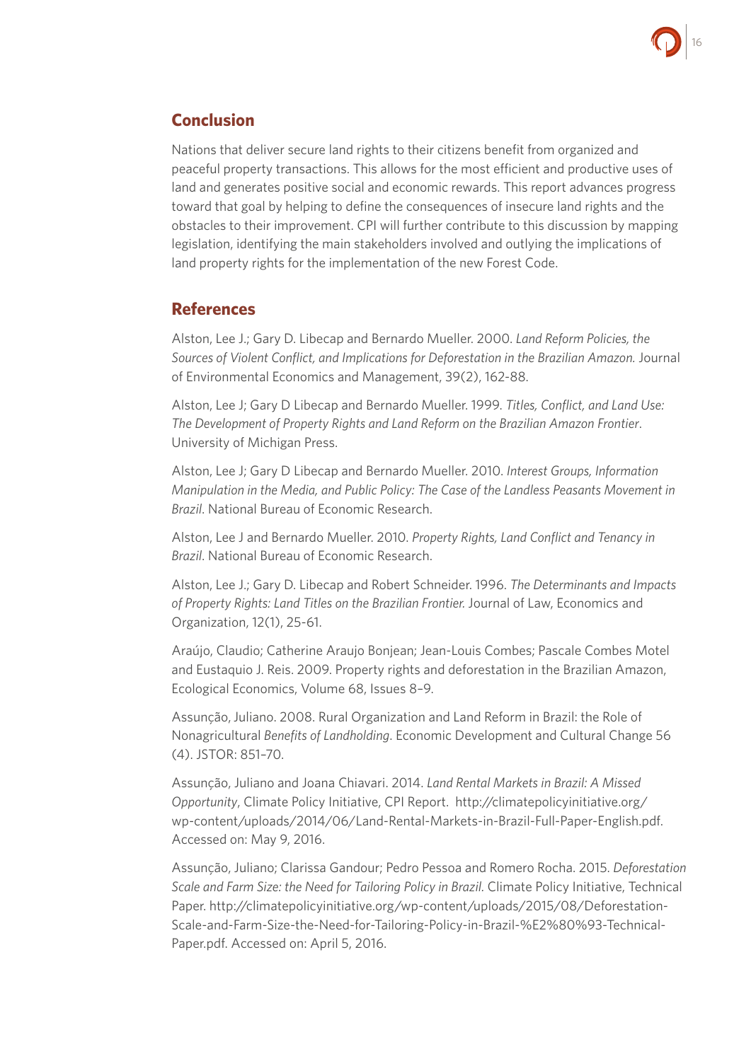

# **Conclusion**

Nations that deliver secure land rights to their citizens benefit from organized and peaceful property transactions. This allows for the most efficient and productive uses of land and generates positive social and economic rewards. This report advances progress toward that goal by helping to define the consequences of insecure land rights and the obstacles to their improvement. CPI will further contribute to this discussion by mapping legislation, identifying the main stakeholders involved and outlying the implications of land property rights for the implementation of the new Forest Code.

## **References**

Alston, Lee J.; Gary D. Libecap and Bernardo Mueller. 2000. *Land Reform Policies, the Sources of Violent Conflict, and Implications for Deforestation in the Brazilian Amazon.* Journal of Environmental Economics and Management, 39(2), 162-88.

Alston, Lee J; Gary D Libecap and Bernardo Mueller. 1999. *Titles, Conflict, and Land Use: The Development of Property Rights and Land Reform on the Brazilian Amazon Frontier*. University of Michigan Press.

Alston, Lee J; Gary D Libecap and Bernardo Mueller. 2010. *Interest Groups, Information Manipulation in the Media, and Public Policy: The Case of the Landless Peasants Movement in Brazil*. National Bureau of Economic Research.

Alston, Lee J and Bernardo Mueller. 2010. *Property Rights, Land Conflict and Tenancy in Brazil*. National Bureau of Economic Research.

Alston, Lee J.; Gary D. Libecap and Robert Schneider. 1996. *The Determinants and Impacts of Property Rights: Land Titles on the Brazilian Frontier.* Journal of Law, Economics and Organization, 12(1), 25-61.

Araújo, Claudio; Catherine Araujo Bonjean; Jean-Louis Combes; Pascale Combes Motel and Eustaquio J. Reis. 2009. Property rights and deforestation in the Brazilian Amazon, Ecological Economics, Volume 68, Issues 8–9.

Assunção, Juliano. 2008. Rural Organization and Land Reform in Brazil: the Role of Nonagricultural *Benefits of Landholding*. Economic Development and Cultural Change 56 (4). JSTOR: 851–70.

Assunção, Juliano and Joana Chiavari. 2014. *Land Rental Markets in Brazil: A Missed Opportunity*, Climate Policy Initiative, CPI Report. [http://climatepolicyinitiative.org/](http://climatepolicyinitiative.org/wp-content/uploads/2014/06/Land-Rental-Markets-in-Brazil-Full-Paper-English.pdf) [wp-content/uploads/2014/06/Land-Rental-Markets-in-Brazil-Full-Paper-English.pdf.](http://climatepolicyinitiative.org/wp-content/uploads/2014/06/Land-Rental-Markets-in-Brazil-Full-Paper-English.pdf) Accessed on: May 9, 2016.

Assunção, Juliano; Clarissa Gandour; Pedro Pessoa and Romero Rocha. 2015. *Deforestation Scale and Farm Size: the Need for Tailoring Policy in Brazil.* Climate Policy Initiative, Technical Paper. [http://climatepolicyinitiative.org/wp-content/uploads/2015/08/Deforestation-](http://climatepolicyinitiative.org/wp-content/uploads/2015/08/Deforestation-Scale-and-Farm-Size-the-Need-for-Tailoring-Policy-in-Brazil-%E2%80%93-Technical-Paper.pdf)[Scale-and-Farm-Size-the-Need-for-Tailoring-Policy-in-Brazil-%E2%80%93-Technical-](http://climatepolicyinitiative.org/wp-content/uploads/2015/08/Deforestation-Scale-and-Farm-Size-the-Need-for-Tailoring-Policy-in-Brazil-%E2%80%93-Technical-Paper.pdf)[Paper.pdf](http://climatepolicyinitiative.org/wp-content/uploads/2015/08/Deforestation-Scale-and-Farm-Size-the-Need-for-Tailoring-Policy-in-Brazil-%E2%80%93-Technical-Paper.pdf). Accessed on: April 5, 2016.